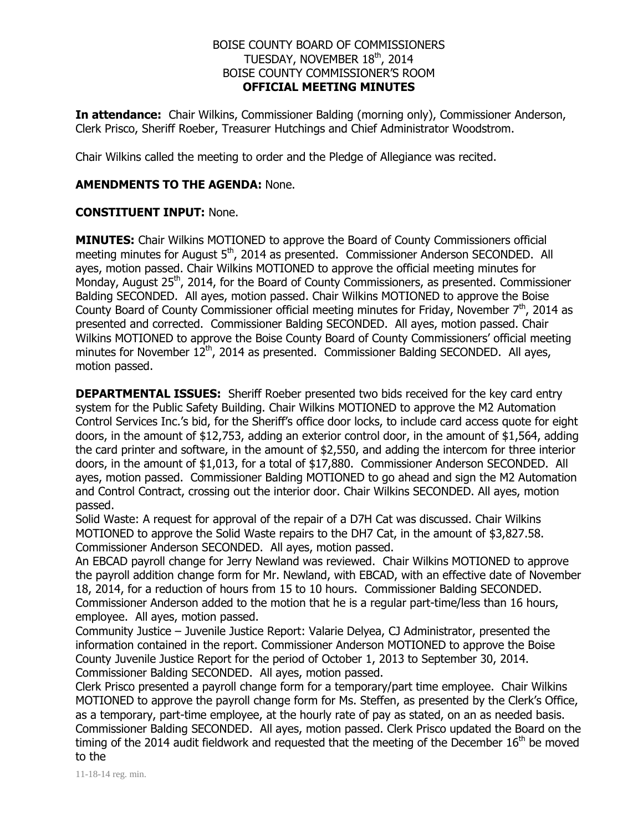### BOISE COUNTY BOARD OF COMMISSIONERS TUESDAY, NOVEMBER 18<sup>th</sup>, 2014 BOISE COUNTY COMMISSIONER'S ROOM **OFFICIAL MEETING MINUTES**

**In attendance:** Chair Wilkins, Commissioner Balding (morning only), Commissioner Anderson, Clerk Prisco, Sheriff Roeber, Treasurer Hutchings and Chief Administrator Woodstrom.

Chair Wilkins called the meeting to order and the Pledge of Allegiance was recited.

### **AMENDMENTS TO THE AGENDA:** None.

### **CONSTITUENT INPUT:** None.

**MINUTES:** Chair Wilkins MOTIONED to approve the Board of County Commissioners official meeting minutes for August 5<sup>th</sup>, 2014 as presented. Commissioner Anderson SECONDED. All ayes, motion passed. Chair Wilkins MOTIONED to approve the official meeting minutes for Monday, August 25<sup>th</sup>, 2014, for the Board of County Commissioners, as presented. Commissioner Balding SECONDED. All ayes, motion passed. Chair Wilkins MOTIONED to approve the Boise County Board of County Commissioner official meeting minutes for Friday, November  $7<sup>th</sup>$ , 2014 as presented and corrected. Commissioner Balding SECONDED. All ayes, motion passed. Chair Wilkins MOTIONED to approve the Boise County Board of County Commissioners' official meeting minutes for November  $12<sup>th</sup>$ , 2014 as presented. Commissioner Balding SECONDED. All ayes, motion passed.

**DEPARTMENTAL ISSUES:** Sheriff Roeber presented two bids received for the key card entry system for the Public Safety Building. Chair Wilkins MOTIONED to approve the M2 Automation Control Services Inc.'s bid, for the Sheriff's office door locks, to include card access quote for eight doors, in the amount of \$12,753, adding an exterior control door, in the amount of \$1,564, adding the card printer and software, in the amount of \$2,550, and adding the intercom for three interior doors, in the amount of \$1,013, for a total of \$17,880. Commissioner Anderson SECONDED. All ayes, motion passed. Commissioner Balding MOTIONED to go ahead and sign the M2 Automation and Control Contract, crossing out the interior door. Chair Wilkins SECONDED. All ayes, motion passed.

Solid Waste: A request for approval of the repair of a D7H Cat was discussed. Chair Wilkins MOTIONED to approve the Solid Waste repairs to the DH7 Cat, in the amount of \$3,827.58. Commissioner Anderson SECONDED. All ayes, motion passed.

An EBCAD payroll change for Jerry Newland was reviewed. Chair Wilkins MOTIONED to approve the payroll addition change form for Mr. Newland, with EBCAD, with an effective date of November 18, 2014, for a reduction of hours from 15 to 10 hours. Commissioner Balding SECONDED. Commissioner Anderson added to the motion that he is a regular part-time/less than 16 hours, employee. All ayes, motion passed.

Community Justice – Juvenile Justice Report: Valarie Delyea, CJ Administrator, presented the information contained in the report. Commissioner Anderson MOTIONED to approve the Boise County Juvenile Justice Report for the period of October 1, 2013 to September 30, 2014. Commissioner Balding SECONDED. All ayes, motion passed.

Clerk Prisco presented a payroll change form for a temporary/part time employee. Chair Wilkins MOTIONED to approve the payroll change form for Ms. Steffen, as presented by the Clerk's Office, as a temporary, part-time employee, at the hourly rate of pay as stated, on an as needed basis. Commissioner Balding SECONDED. All ayes, motion passed. Clerk Prisco updated the Board on the timing of the 2014 audit fieldwork and requested that the meeting of the December  $16<sup>th</sup>$  be moved to the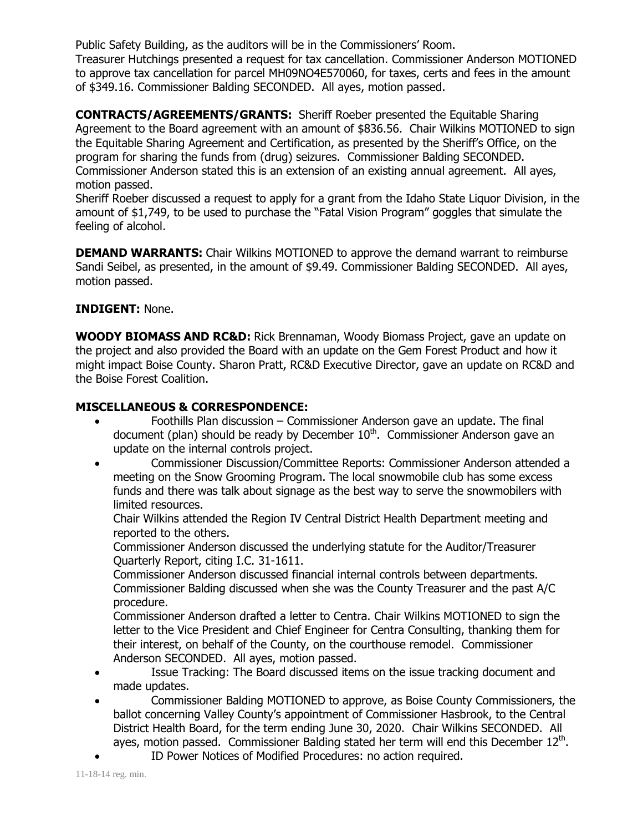Public Safety Building, as the auditors will be in the Commissioners' Room. Treasurer Hutchings presented a request for tax cancellation. Commissioner Anderson MOTIONED to approve tax cancellation for parcel MH09NO4E570060, for taxes, certs and fees in the amount of \$349.16. Commissioner Balding SECONDED. All ayes, motion passed.

**CONTRACTS/AGREEMENTS/GRANTS:** Sheriff Roeber presented the Equitable Sharing Agreement to the Board agreement with an amount of \$836.56. Chair Wilkins MOTIONED to sign the Equitable Sharing Agreement and Certification, as presented by the Sheriff's Office, on the program for sharing the funds from (drug) seizures. Commissioner Balding SECONDED. Commissioner Anderson stated this is an extension of an existing annual agreement. All ayes, motion passed.

Sheriff Roeber discussed a request to apply for a grant from the Idaho State Liquor Division, in the amount of \$1,749, to be used to purchase the "Fatal Vision Program" goggles that simulate the feeling of alcohol.

**DEMAND WARRANTS:** Chair Wilkins MOTIONED to approve the demand warrant to reimburse Sandi Seibel, as presented, in the amount of \$9.49. Commissioner Balding SECONDED. All ayes, motion passed.

# **INDIGENT:** None.

**WOODY BIOMASS AND RC&D:** Rick Brennaman, Woody Biomass Project, gave an update on the project and also provided the Board with an update on the Gem Forest Product and how it might impact Boise County. Sharon Pratt, RC&D Executive Director, gave an update on RC&D and the Boise Forest Coalition.

# **MISCELLANEOUS & CORRESPONDENCE:**

- Foothills Plan discussion Commissioner Anderson gave an update. The final document (plan) should be ready by December  $10<sup>th</sup>$ . Commissioner Anderson gave an update on the internal controls project.
- Commissioner Discussion/Committee Reports: Commissioner Anderson attended a meeting on the Snow Grooming Program. The local snowmobile club has some excess funds and there was talk about signage as the best way to serve the snowmobilers with limited resources.

Chair Wilkins attended the Region IV Central District Health Department meeting and reported to the others.

Commissioner Anderson discussed the underlying statute for the Auditor/Treasurer Quarterly Report, citing I.C. 31-1611.

Commissioner Anderson discussed financial internal controls between departments. Commissioner Balding discussed when she was the County Treasurer and the past A/C procedure.

Commissioner Anderson drafted a letter to Centra. Chair Wilkins MOTIONED to sign the letter to the Vice President and Chief Engineer for Centra Consulting, thanking them for their interest, on behalf of the County, on the courthouse remodel. Commissioner Anderson SECONDED. All ayes, motion passed.

- Issue Tracking: The Board discussed items on the issue tracking document and made updates.
- Commissioner Balding MOTIONED to approve, as Boise County Commissioners, the ballot concerning Valley County's appointment of Commissioner Hasbrook, to the Central District Health Board, for the term ending June 30, 2020. Chair Wilkins SECONDED. All ayes, motion passed. Commissioner Balding stated her term will end this December  $12<sup>th</sup>$ .
- ID Power Notices of Modified Procedures: no action required.